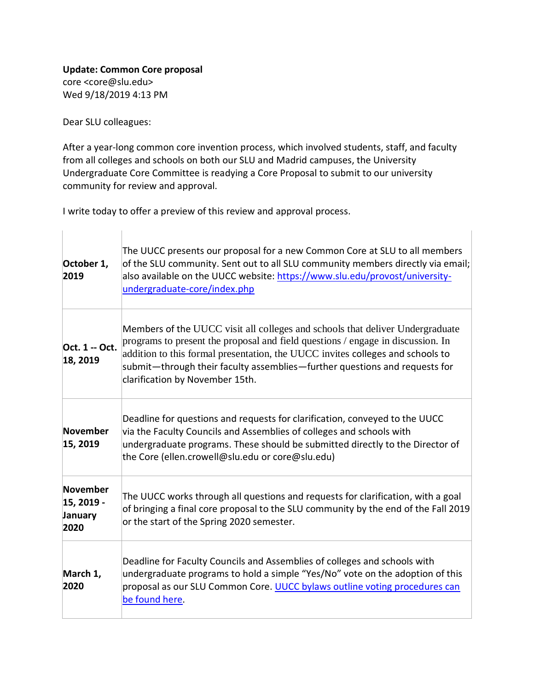## **Update: Common Core proposal** core <core@slu.edu> Wed 9/18/2019 4:13 PM

Dear SLU colleagues:

After a year-long common core invention process, which involved students, staff, and faculty from all colleges and schools on both our SLU and Madrid campuses, the University Undergraduate Core Committee is readying a Core Proposal to submit to our university community for review and approval.

I write today to offer a preview of this review and approval process.

| October 1,<br>2019                        | The UUCC presents our proposal for a new Common Core at SLU to all members<br>of the SLU community. Sent out to all SLU community members directly via email;<br>also available on the UUCC website: https://www.slu.edu/provost/university-<br>undergraduate-core/index.php                                                                                        |
|-------------------------------------------|---------------------------------------------------------------------------------------------------------------------------------------------------------------------------------------------------------------------------------------------------------------------------------------------------------------------------------------------------------------------|
| Oct. 1 -- Oct.<br>18, 2019                | Members of the UUCC visit all colleges and schools that deliver Undergraduate<br>programs to present the proposal and field questions / engage in discussion. In<br>addition to this formal presentation, the UUCC invites colleges and schools to<br>submit—through their faculty assemblies—further questions and requests for<br>clarification by November 15th. |
| November<br>15, 2019                      | Deadline for questions and requests for clarification, conveyed to the UUCC<br>via the Faculty Councils and Assemblies of colleges and schools with<br>undergraduate programs. These should be submitted directly to the Director of<br>the Core (ellen.crowell@slu.edu or core@slu.edu)                                                                            |
| November<br>15, 2019 -<br>January<br>2020 | The UUCC works through all questions and requests for clarification, with a goal<br>of bringing a final core proposal to the SLU community by the end of the Fall 2019<br>or the start of the Spring 2020 semester.                                                                                                                                                 |
| March 1,<br>2020                          | Deadline for Faculty Councils and Assemblies of colleges and schools with<br>undergraduate programs to hold a simple "Yes/No" vote on the adoption of this<br>proposal as our SLU Common Core. UUCC bylaws outline voting procedures can<br>be found here.                                                                                                          |